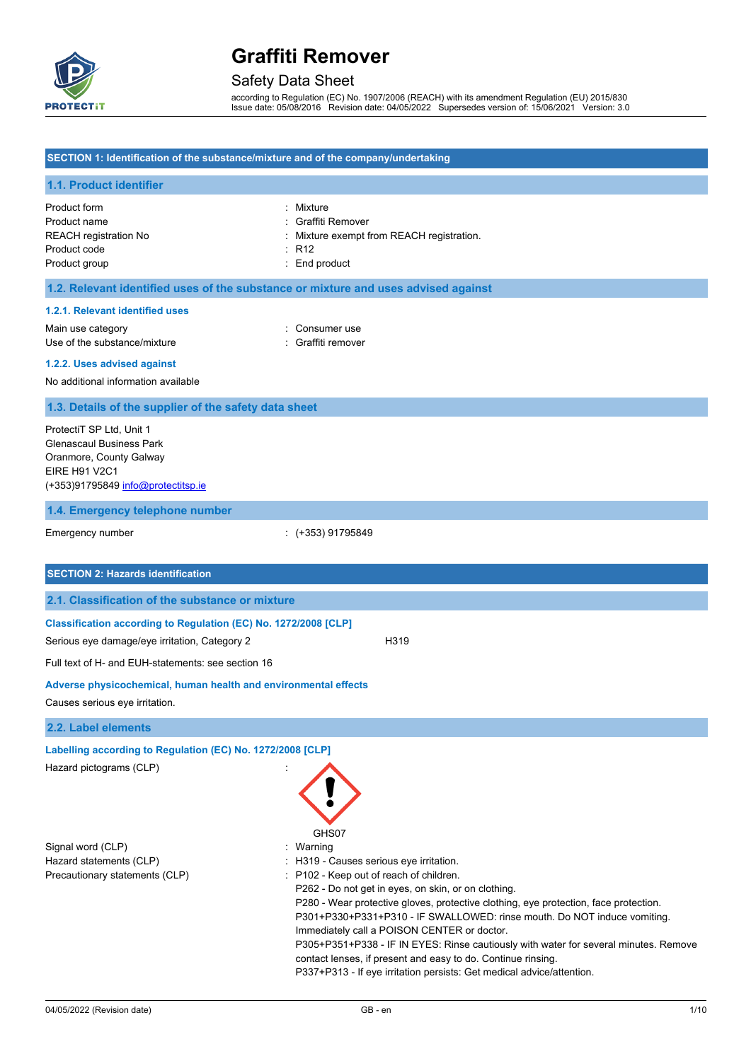

# Safety Data Sheet

according to Regulation (EC) No. 1907/2006 (REACH) with its amendment Regulation (EU) 2015/830 Issue date: 05/08/2016 Revision date: 04/05/2022 Supersedes version of: 15/06/2021 Version: 3.0

| SECTION 1: Identification of the substance/mixture and of the company/undertaking                                                                    |                                                                                                                                                                                                                                                                                                                                                                                                                                                                                                                                                                                                                     |  |
|------------------------------------------------------------------------------------------------------------------------------------------------------|---------------------------------------------------------------------------------------------------------------------------------------------------------------------------------------------------------------------------------------------------------------------------------------------------------------------------------------------------------------------------------------------------------------------------------------------------------------------------------------------------------------------------------------------------------------------------------------------------------------------|--|
| 1.1. Product identifier                                                                                                                              |                                                                                                                                                                                                                                                                                                                                                                                                                                                                                                                                                                                                                     |  |
| Product form<br>Product name<br><b>REACH registration No</b><br>Product code<br>Product group                                                        | : Mixture<br>Graffiti Remover<br>Mixture exempt from REACH registration.<br>: R12<br>: End product                                                                                                                                                                                                                                                                                                                                                                                                                                                                                                                  |  |
| 1.2. Relevant identified uses of the substance or mixture and uses advised against                                                                   |                                                                                                                                                                                                                                                                                                                                                                                                                                                                                                                                                                                                                     |  |
| 1.2.1. Relevant identified uses                                                                                                                      |                                                                                                                                                                                                                                                                                                                                                                                                                                                                                                                                                                                                                     |  |
| Main use category<br>Use of the substance/mixture                                                                                                    | : Consumer use<br>: Graffiti remover                                                                                                                                                                                                                                                                                                                                                                                                                                                                                                                                                                                |  |
| 1.2.2. Uses advised against                                                                                                                          |                                                                                                                                                                                                                                                                                                                                                                                                                                                                                                                                                                                                                     |  |
| No additional information available                                                                                                                  |                                                                                                                                                                                                                                                                                                                                                                                                                                                                                                                                                                                                                     |  |
| 1.3. Details of the supplier of the safety data sheet                                                                                                |                                                                                                                                                                                                                                                                                                                                                                                                                                                                                                                                                                                                                     |  |
| ProtectiT SP Ltd, Unit 1<br><b>Glenascaul Business Park</b><br>Oranmore, County Galway<br><b>EIRE H91 V2C1</b><br>(+353)91795849 info@protectitsp.ie |                                                                                                                                                                                                                                                                                                                                                                                                                                                                                                                                                                                                                     |  |
| 1.4. Emergency telephone number                                                                                                                      |                                                                                                                                                                                                                                                                                                                                                                                                                                                                                                                                                                                                                     |  |
| Emergency number                                                                                                                                     | : (+353) 91795849                                                                                                                                                                                                                                                                                                                                                                                                                                                                                                                                                                                                   |  |
| <b>SECTION 2: Hazards identification</b>                                                                                                             |                                                                                                                                                                                                                                                                                                                                                                                                                                                                                                                                                                                                                     |  |
| 2.1. Classification of the substance or mixture                                                                                                      |                                                                                                                                                                                                                                                                                                                                                                                                                                                                                                                                                                                                                     |  |
| Classification according to Regulation (EC) No. 1272/2008 [CLP]<br>Serious eye damage/eye irritation, Category 2                                     | H319                                                                                                                                                                                                                                                                                                                                                                                                                                                                                                                                                                                                                |  |
| Full text of H- and EUH-statements: see section 16                                                                                                   |                                                                                                                                                                                                                                                                                                                                                                                                                                                                                                                                                                                                                     |  |
| Adverse physicochemical, human health and environmental effects                                                                                      |                                                                                                                                                                                                                                                                                                                                                                                                                                                                                                                                                                                                                     |  |
| Causes serious eye irritation.                                                                                                                       |                                                                                                                                                                                                                                                                                                                                                                                                                                                                                                                                                                                                                     |  |
| 2.2. Label elements                                                                                                                                  |                                                                                                                                                                                                                                                                                                                                                                                                                                                                                                                                                                                                                     |  |
| Labelling according to Regulation (EC) No. 1272/2008 [CLP]<br>Hazard pictograms (CLP)                                                                |                                                                                                                                                                                                                                                                                                                                                                                                                                                                                                                                                                                                                     |  |
| Signal word (CLP)<br>Hazard statements (CLP)<br>Precautionary statements (CLP)                                                                       | GHS07<br>: Warning<br>: H319 - Causes serious eye irritation.<br>: P102 - Keep out of reach of children.<br>P262 - Do not get in eyes, on skin, or on clothing.<br>P280 - Wear protective gloves, protective clothing, eye protection, face protection.<br>P301+P330+P331+P310 - IF SWALLOWED: rinse mouth. Do NOT induce vomiting.<br>Immediately call a POISON CENTER or doctor.<br>P305+P351+P338 - IF IN EYES: Rinse cautiously with water for several minutes. Remove<br>contact lenses, if present and easy to do. Continue rinsing.<br>P337+P313 - If eye irritation persists: Get medical advice/attention. |  |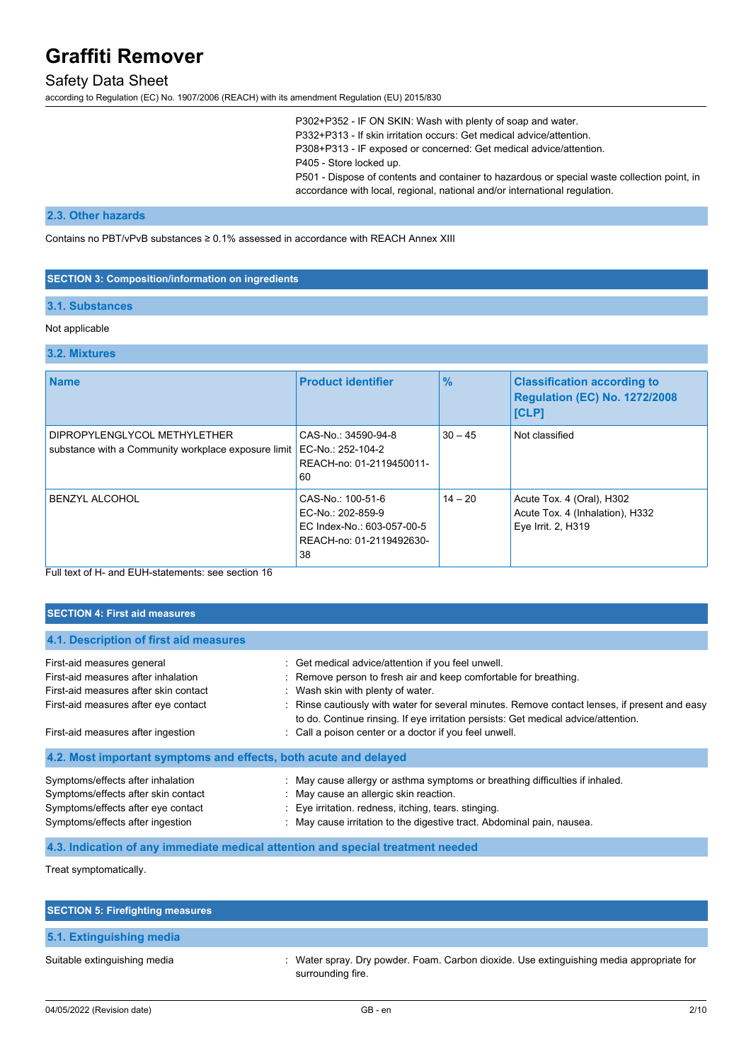# Safety Data Sheet

according to Regulation (EC) No. 1907/2006 (REACH) with its amendment Regulation (EU) 2015/830

P302+P352 - IF ON SKIN: Wash with plenty of soap and water. P332+P313 - If skin irritation occurs: Get medical advice/attention. P308+P313 - IF exposed or concerned: Get medical advice/attention. P405 - Store locked up. P501 - Dispose of contents and container to hazardous or special waste collection point, in accordance with local, regional, national and/or international regulation.

## **2.3. Other hazards**

Contains no PBT/vPvB substances ≥ 0.1% assessed in accordance with REACH Annex XIII

#### **SECTION 3: Composition/information on ingredients**

### **3.1. Substances**

### Not applicable

#### **3.2. Mixtures**

| <b>Name</b>                                                                         | <b>Product identifier</b>                                                                              | $\frac{9}{6}$ | <b>Classification according to</b><br><b>Regulation (EC) No. 1272/2008</b><br><b>[CLP]</b> |
|-------------------------------------------------------------------------------------|--------------------------------------------------------------------------------------------------------|---------------|--------------------------------------------------------------------------------------------|
| DIPROPYLENGLYCOL METHYLETHER<br>substance with a Community workplace exposure limit | CAS-No.: 34590-94-8<br>EC-No.: 252-104-2<br>REACH-no: 01-2119450011-<br>60                             | $30 - 45$     | Not classified                                                                             |
| <b>BENZYL ALCOHOL</b>                                                               | CAS-No.: 100-51-6<br>EC-No.: 202-859-9<br>EC Index-No.: 603-057-00-5<br>REACH-no: 01-2119492630-<br>38 | $14 - 20$     | Acute Tox. 4 (Oral), H302<br>Acute Tox. 4 (Inhalation), H332<br>Eye Irrit. 2, H319         |

Full text of H- and EUH-statements: see section 16

## **SECTION 4: First aid measures**

| 4.1. Description of first aid measures                           |                                                                                                                                                                                     |
|------------------------------------------------------------------|-------------------------------------------------------------------------------------------------------------------------------------------------------------------------------------|
| First-aid measures general                                       | : Get medical advice/attention if you feel unwell.                                                                                                                                  |
| First-aid measures after inhalation                              | : Remove person to fresh air and keep comfortable for breathing.                                                                                                                    |
| First-aid measures after skin contact                            | : Wash skin with plenty of water.                                                                                                                                                   |
| First-aid measures after eye contact                             | : Rinse cautiously with water for several minutes. Remove contact lenses, if present and easy<br>to do. Continue rinsing. If eye irritation persists: Get medical advice/attention. |
| First-aid measures after ingestion                               | : Call a poison center or a doctor if you feel unwell.                                                                                                                              |
| 4.2. Most important symptoms and effects, both acute and delayed |                                                                                                                                                                                     |
| Symptoms/effects after inhalation                                | : May cause allergy or asthma symptoms or breathing difficulties if inhaled.                                                                                                        |
| Symptoms/effects after skin contact                              | : May cause an allergic skin reaction.                                                                                                                                              |
| Symptoms/effects after eye contact                               | : Eye irritation. redness, itching, tears. stinging.                                                                                                                                |
| Symptoms/effects after ingestion                                 | : May cause irritation to the digestive tract. Abdominal pain, nausea.                                                                                                              |

**4.3. Indication of any immediate medical attention and special treatment needed**

Treat symptomatically.

| <b>SECTION 5: Firefighting measures</b> |                                                                                                               |
|-----------------------------------------|---------------------------------------------------------------------------------------------------------------|
| 5.1. Extinguishing media                |                                                                                                               |
| Suitable extinguishing media            | : Water spray. Dry powder. Foam. Carbon dioxide. Use extinguishing media appropriate for<br>surrounding fire. |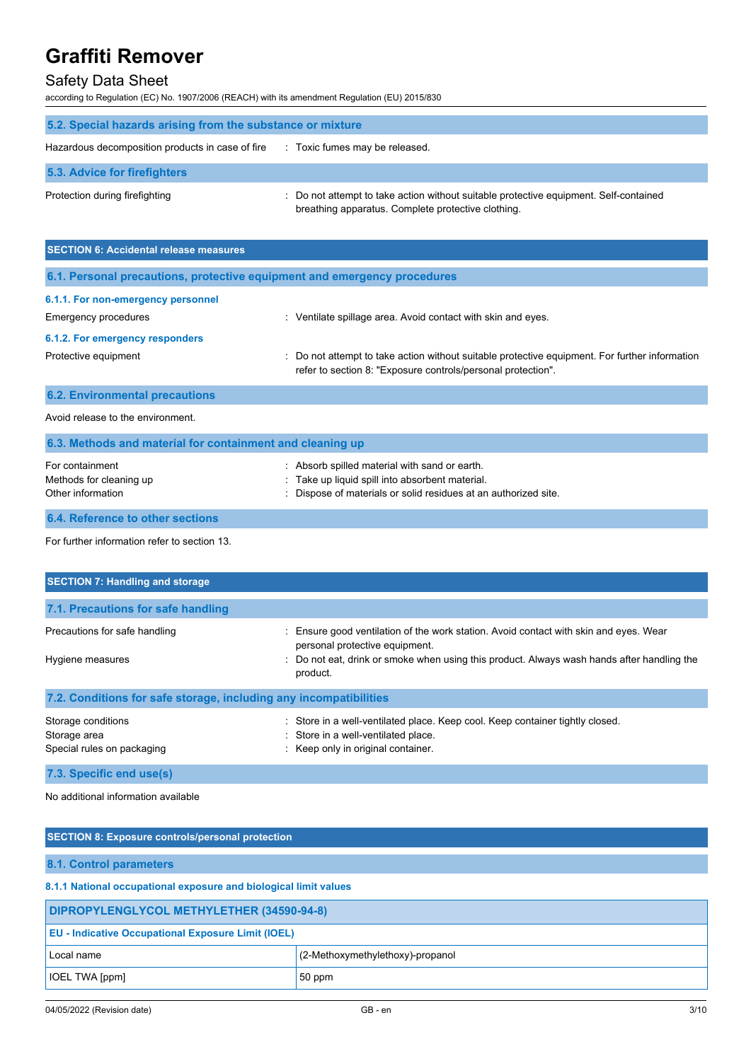# Safety Data Sheet

according to Regulation (EC) No. 1907/2006 (REACH) with its amendment Regulation (EU) 2015/830

| 5.2. Special hazards arising from the substance or mixture |                                                                                                                                             |  |
|------------------------------------------------------------|---------------------------------------------------------------------------------------------------------------------------------------------|--|
| Hazardous decomposition products in case of fire           | : Toxic fumes may be released.                                                                                                              |  |
| 5.3. Advice for firefighters                               |                                                                                                                                             |  |
| Protection during firefighting                             | : Do not attempt to take action without suitable protective equipment. Self-contained<br>breathing apparatus. Complete protective clothing. |  |

| <b>SECTION 6: Accidental release measures</b>                            |                                                                                                                                                                |  |
|--------------------------------------------------------------------------|----------------------------------------------------------------------------------------------------------------------------------------------------------------|--|
| 6.1. Personal precautions, protective equipment and emergency procedures |                                                                                                                                                                |  |
| 6.1.1. For non-emergency personnel                                       |                                                                                                                                                                |  |
| <b>Emergency procedures</b>                                              | : Ventilate spillage area. Avoid contact with skin and eyes.                                                                                                   |  |
| 6.1.2. For emergency responders                                          |                                                                                                                                                                |  |
| Protective equipment                                                     | : Do not attempt to take action without suitable protective equipment. For further information<br>refer to section 8: "Exposure controls/personal protection". |  |
| <b>6.2. Environmental precautions</b>                                    |                                                                                                                                                                |  |

Avoid release to the environment.

| 6.3. Methods and material for containment and cleaning up       |                                                                                                                                                                     |  |
|-----------------------------------------------------------------|---------------------------------------------------------------------------------------------------------------------------------------------------------------------|--|
| For containment<br>Methods for cleaning up<br>Other information | : Absorb spilled material with sand or earth.<br>: Take up liquid spill into absorbent material.<br>: Dispose of materials or solid residues at an authorized site. |  |
| 6.4. Reference to other sections                                |                                                                                                                                                                     |  |

For further information refer to section 13.

| <b>SECTION 7: Handling and storage</b>                            |                                                                                                                                                                                                                                   |  |
|-------------------------------------------------------------------|-----------------------------------------------------------------------------------------------------------------------------------------------------------------------------------------------------------------------------------|--|
| 7.1. Precautions for safe handling                                |                                                                                                                                                                                                                                   |  |
| Precautions for safe handling<br>Hygiene measures                 | : Ensure good ventilation of the work station. Avoid contact with skin and eyes. Wear<br>personal protective equipment.<br>: Do not eat, drink or smoke when using this product. Always wash hands after handling the<br>product. |  |
| 7.2. Conditions for safe storage, including any incompatibilities |                                                                                                                                                                                                                                   |  |
| Storage conditions<br>Storage area<br>Special rules on packaging  | : Store in a well-ventilated place. Keep cool. Keep container tightly closed.<br>: Store in a well-ventilated place.<br>: Keep only in original container.                                                                        |  |

**7.3. Specific end use(s)**

No additional information available

| <b>SECTION 8: Exposure controls/personal protection</b>          |  |  |
|------------------------------------------------------------------|--|--|
| 8.1. Control parameters                                          |  |  |
| 8.1.1 National occupational exposure and biological limit values |  |  |
| DIPROPYLENGLYCOL METHYLETHER (34590-94-8)                        |  |  |
| <b>EU - Indicative Occupational Exposure Limit (IOEL)</b>        |  |  |
| (2-Methoxymethylethoxy)-propanol                                 |  |  |
| 50 ppm                                                           |  |  |
|                                                                  |  |  |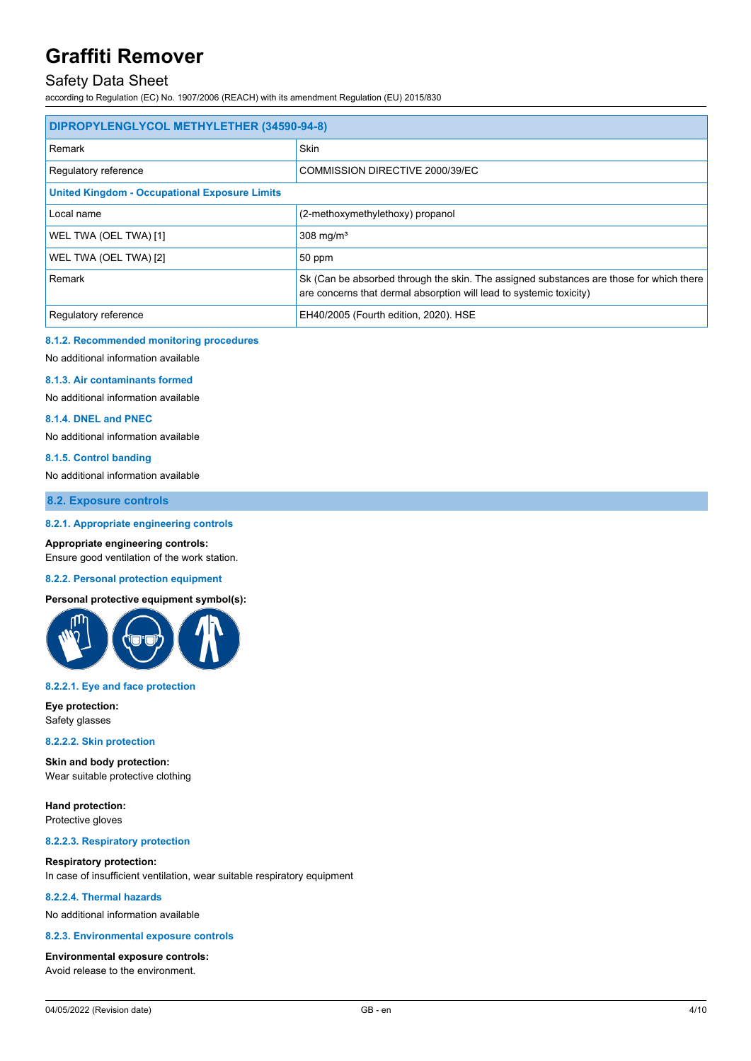# Safety Data Sheet

according to Regulation (EC) No. 1907/2006 (REACH) with its amendment Regulation (EU) 2015/830

| DIPROPYLENGLYCOL METHYLETHER (34590-94-8)            |                                                                                                                                                                |  |
|------------------------------------------------------|----------------------------------------------------------------------------------------------------------------------------------------------------------------|--|
| Remark                                               | <b>Skin</b>                                                                                                                                                    |  |
| Regulatory reference                                 | COMMISSION DIRECTIVE 2000/39/EC                                                                                                                                |  |
| <b>United Kingdom - Occupational Exposure Limits</b> |                                                                                                                                                                |  |
| Local name                                           | (2-methoxymethylethoxy) propanol                                                                                                                               |  |
| WEL TWA (OEL TWA) [1]                                | 308 mg/ $m3$                                                                                                                                                   |  |
| WEL TWA (OEL TWA) [2]                                | 50 ppm                                                                                                                                                         |  |
| Remark                                               | Sk (Can be absorbed through the skin. The assigned substances are those for which there<br>are concerns that dermal absorption will lead to systemic toxicity) |  |
| Regulatory reference                                 | EH40/2005 (Fourth edition, 2020). HSE                                                                                                                          |  |

### **8.1.2. Recommended monitoring procedures**

No additional information available

### **8.1.3. Air contaminants formed**

No additional information available

### **8.1.4. DNEL and PNEC**

No additional information available

#### **8.1.5. Control banding**

No additional information available

**8.2. Exposure controls**

### **8.2.1. Appropriate engineering controls**

### **Appropriate engineering controls:**

Ensure good ventilation of the work station.

#### **8.2.2. Personal protection equipment**

## **Personal protective equipment symbol(s):**



#### **8.2.2.1. Eye and face protection**

**Eye protection:** Safety glasses

#### **8.2.2.2. Skin protection**

**Skin and body protection:** Wear suitable protective clothing

**Hand protection:** Protective gloves

#### **8.2.2.3. Respiratory protection**

### **Respiratory protection:**

In case of insufficient ventilation, wear suitable respiratory equipment

#### **8.2.2.4. Thermal hazards**

No additional information available

#### **8.2.3. Environmental exposure controls**

**Environmental exposure controls:** Avoid release to the environment.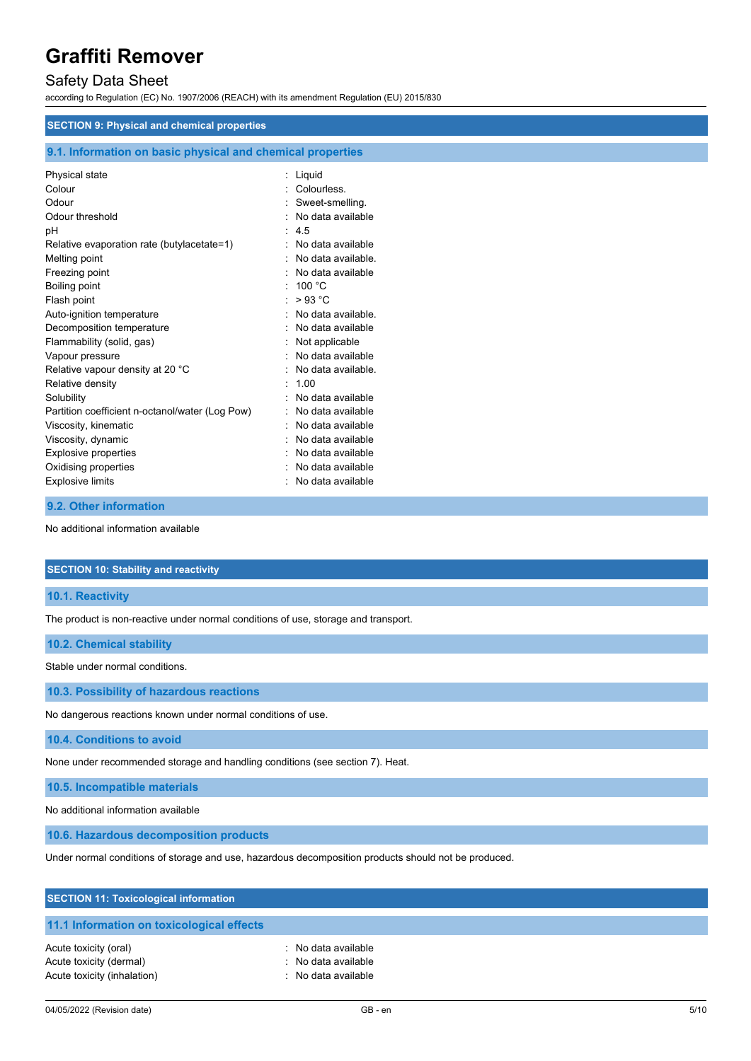# Safety Data Sheet

according to Regulation (EC) No. 1907/2006 (REACH) with its amendment Regulation (EU) 2015/830

## **SECTION 9: Physical and chemical properties**

## **9.1. Information on basic physical and chemical properties**

| Physical state<br>Colour<br>Odour<br>Odour threshold<br>рH<br>Relative evaporation rate (butylacetate=1)<br>Melting point<br>Freezing point<br>Boiling point<br>Flash point<br>Auto-ignition temperature<br>Decomposition temperature<br>Flammability (solid, gas)<br>Vapour pressure<br>Relative vapour density at 20 °C<br>Relative density<br>Solubility<br>Partition coefficient n-octanol/water (Log Pow)<br>Viscosity, kinematic<br>Viscosity, dynamic<br><b>Explosive properties</b> | Liquid<br>Colourless.<br>Sweet-smelling.<br>No data available<br>45<br>No data available<br>No data available.<br>No data available<br>100 $\degree$ C<br>>93 °C<br>No data available.<br>No data available<br>Not applicable<br>No data available<br>No data available.<br>100<br>No data available<br>No data available<br>No data available<br>No data available<br>No data available |
|---------------------------------------------------------------------------------------------------------------------------------------------------------------------------------------------------------------------------------------------------------------------------------------------------------------------------------------------------------------------------------------------------------------------------------------------------------------------------------------------|------------------------------------------------------------------------------------------------------------------------------------------------------------------------------------------------------------------------------------------------------------------------------------------------------------------------------------------------------------------------------------------|
|                                                                                                                                                                                                                                                                                                                                                                                                                                                                                             |                                                                                                                                                                                                                                                                                                                                                                                          |
| Oxidising properties<br><b>Explosive limits</b>                                                                                                                                                                                                                                                                                                                                                                                                                                             | No data available<br>No data available                                                                                                                                                                                                                                                                                                                                                   |
|                                                                                                                                                                                                                                                                                                                                                                                                                                                                                             |                                                                                                                                                                                                                                                                                                                                                                                          |

## **9.2. Other information**

No additional information available

#### **SECTION 10: Stability and reactivity**

**10.1. Reactivity**

The product is non-reactive under normal conditions of use, storage and transport.

### **10.2. Chemical stability**

Stable under normal conditions.

**10.3. Possibility of hazardous reactions**

No dangerous reactions known under normal conditions of use.

**10.4. Conditions to avoid**

None under recommended storage and handling conditions (see section 7). Heat.

**10.5. Incompatible materials**

No additional information available

**10.6. Hazardous decomposition products**

Under normal conditions of storage and use, hazardous decomposition products should not be produced.

| <b>SECTION 11: Toxicological information</b>                                    |                                                                   |
|---------------------------------------------------------------------------------|-------------------------------------------------------------------|
| 11.1 Information on toxicological effects                                       |                                                                   |
| Acute toxicity (oral)<br>Acute toxicity (dermal)<br>Acute toxicity (inhalation) | : No data available<br>: No data available<br>: No data available |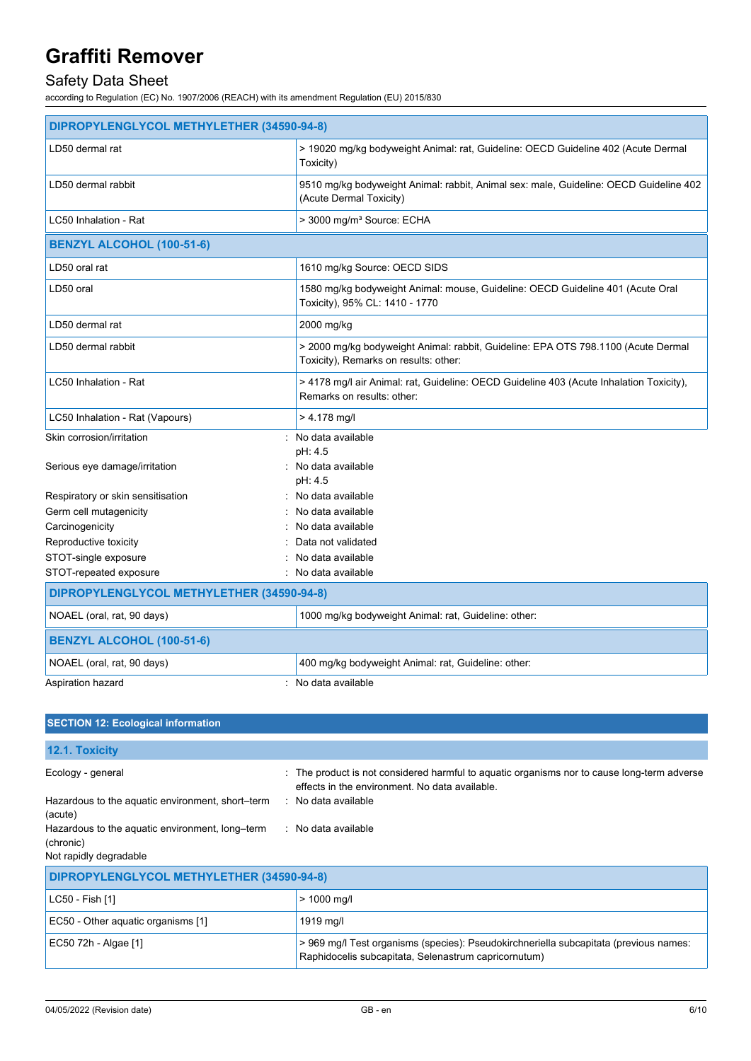# Safety Data Sheet

according to Regulation (EC) No. 1907/2006 (REACH) with its amendment Regulation (EU) 2015/830

| DIPROPYLENGLYCOL METHYLETHER (34590-94-8) |                                                                                                                            |  |
|-------------------------------------------|----------------------------------------------------------------------------------------------------------------------------|--|
| LD50 dermal rat                           | > 19020 mg/kg bodyweight Animal: rat, Guideline: OECD Guideline 402 (Acute Dermal<br>Toxicity)                             |  |
| LD50 dermal rabbit                        | 9510 mg/kg bodyweight Animal: rabbit, Animal sex: male, Guideline: OECD Guideline 402<br>(Acute Dermal Toxicity)           |  |
| LC50 Inhalation - Rat                     | > 3000 mg/m <sup>3</sup> Source: ECHA                                                                                      |  |
| <b>BENZYL ALCOHOL (100-51-6)</b>          |                                                                                                                            |  |
| LD50 oral rat                             | 1610 mg/kg Source: OECD SIDS                                                                                               |  |
| LD50 oral                                 | 1580 mg/kg bodyweight Animal: mouse, Guideline: OECD Guideline 401 (Acute Oral<br>Toxicity), 95% CL: 1410 - 1770           |  |
| LD50 dermal rat                           | 2000 mg/kg                                                                                                                 |  |
| LD50 dermal rabbit                        | > 2000 mg/kg bodyweight Animal: rabbit, Guideline: EPA OTS 798.1100 (Acute Dermal<br>Toxicity), Remarks on results: other: |  |
| LC50 Inhalation - Rat                     | > 4178 mg/l air Animal: rat, Guideline: OECD Guideline 403 (Acute Inhalation Toxicity),<br>Remarks on results: other:      |  |
| LC50 Inhalation - Rat (Vapours)           | $> 4.178$ mg/l                                                                                                             |  |
| Skin corrosion/irritation                 | : No data available                                                                                                        |  |
| Serious eye damage/irritation             | pH: 4.5<br>: No data available<br>pH: 4.5                                                                                  |  |
| Respiratory or skin sensitisation         | : No data available                                                                                                        |  |
| Germ cell mutagenicity                    | No data available                                                                                                          |  |
| Carcinogenicity                           | No data available                                                                                                          |  |
| Reproductive toxicity                     | Data not validated                                                                                                         |  |
| STOT-single exposure                      | No data available                                                                                                          |  |
| STOT-repeated exposure                    | : No data available                                                                                                        |  |
| DIPROPYLENGLYCOL METHYLETHER (34590-94-8) |                                                                                                                            |  |
| NOAEL (oral, rat, 90 days)                | 1000 mg/kg bodyweight Animal: rat, Guideline: other:                                                                       |  |
| <b>BENZYL ALCOHOL (100-51-6)</b>          |                                                                                                                            |  |
| NOAEL (oral, rat, 90 days)                | 400 mg/kg bodyweight Animal: rat, Guideline: other:                                                                        |  |
| Aspiration hazard                         | $:$ No data available                                                                                                      |  |

| <b>SECTION 12: Ecological information</b>                                                                                                                                  |                                                                                                                                                                                                        |  |
|----------------------------------------------------------------------------------------------------------------------------------------------------------------------------|--------------------------------------------------------------------------------------------------------------------------------------------------------------------------------------------------------|--|
| <b>12.1. Toxicity</b>                                                                                                                                                      |                                                                                                                                                                                                        |  |
| Ecology - general<br>Hazardous to the aquatic environment, short–term<br>(acute)<br>Hazardous to the aquatic environment, long–term<br>(chronic)<br>Not rapidly degradable | : The product is not considered harmful to aquatic organisms nor to cause long-term adverse<br>effects in the environment. No data available.<br>$\therefore$ No data available<br>: No data available |  |
| DIPROPYLENGLYCOL METHYLETHER (34590-94-8)                                                                                                                                  |                                                                                                                                                                                                        |  |
| LC50 - Fish [1]                                                                                                                                                            | $> 1000$ mg/l                                                                                                                                                                                          |  |
| EC50 - Other aquatic organisms [1]                                                                                                                                         | 1919 mg/l                                                                                                                                                                                              |  |
| EC50 72h - Algae [1]                                                                                                                                                       | > 969 mg/l Test organisms (species): Pseudokirchneriella subcapitata (previous names:<br>Raphidocelis subcapitata, Selenastrum capricornutum)                                                          |  |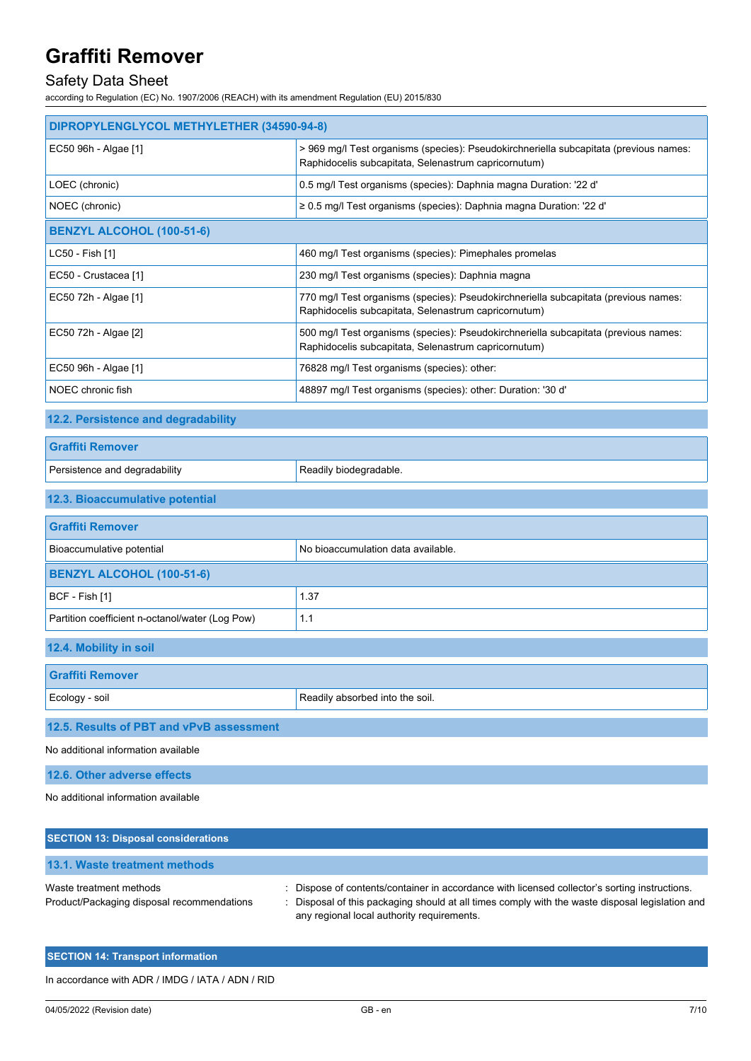# Safety Data Sheet

according to Regulation (EC) No. 1907/2006 (REACH) with its amendment Regulation (EU) 2015/830

| DIPROPYLENGLYCOL METHYLETHER (34590-94-8)                             |                                                                                                                                                                                                                                            |  |
|-----------------------------------------------------------------------|--------------------------------------------------------------------------------------------------------------------------------------------------------------------------------------------------------------------------------------------|--|
| EC50 96h - Algae [1]                                                  | > 969 mg/l Test organisms (species): Pseudokirchneriella subcapitata (previous names:<br>Raphidocelis subcapitata, Selenastrum capricornutum)                                                                                              |  |
| LOEC (chronic)                                                        | 0.5 mg/l Test organisms (species): Daphnia magna Duration: '22 d'                                                                                                                                                                          |  |
| NOEC (chronic)                                                        | ≥ 0.5 mg/l Test organisms (species): Daphnia magna Duration: '22 d'                                                                                                                                                                        |  |
| <b>BENZYL ALCOHOL (100-51-6)</b>                                      |                                                                                                                                                                                                                                            |  |
| LC50 - Fish [1]                                                       | 460 mg/l Test organisms (species): Pimephales promelas                                                                                                                                                                                     |  |
| EC50 - Crustacea [1]                                                  | 230 mg/l Test organisms (species): Daphnia magna                                                                                                                                                                                           |  |
| EC50 72h - Algae [1]                                                  | 770 mg/l Test organisms (species): Pseudokirchneriella subcapitata (previous names:<br>Raphidocelis subcapitata, Selenastrum capricornutum)                                                                                                |  |
| EC50 72h - Algae [2]                                                  | 500 mg/l Test organisms (species): Pseudokirchneriella subcapitata (previous names:<br>Raphidocelis subcapitata, Selenastrum capricornutum)                                                                                                |  |
| EC50 96h - Algae [1]                                                  | 76828 mg/l Test organisms (species): other:                                                                                                                                                                                                |  |
| NOEC chronic fish                                                     | 48897 mg/l Test organisms (species): other: Duration: '30 d'                                                                                                                                                                               |  |
| 12.2. Persistence and degradability                                   |                                                                                                                                                                                                                                            |  |
| <b>Graffiti Remover</b>                                               |                                                                                                                                                                                                                                            |  |
| Persistence and degradability                                         | Readily biodegradable.                                                                                                                                                                                                                     |  |
| 12.3. Bioaccumulative potential                                       |                                                                                                                                                                                                                                            |  |
| <b>Graffiti Remover</b>                                               |                                                                                                                                                                                                                                            |  |
| Bioaccumulative potential                                             | No bioaccumulation data available.                                                                                                                                                                                                         |  |
| <b>BENZYL ALCOHOL (100-51-6)</b>                                      |                                                                                                                                                                                                                                            |  |
| BCF - Fish [1]                                                        | 1.37                                                                                                                                                                                                                                       |  |
| Partition coefficient n-octanol/water (Log Pow)                       | 1.1                                                                                                                                                                                                                                        |  |
| 12.4. Mobility in soil                                                |                                                                                                                                                                                                                                            |  |
| <b>Graffiti Remover</b>                                               |                                                                                                                                                                                                                                            |  |
| Ecology - soil                                                        | Readily absorbed into the soil.                                                                                                                                                                                                            |  |
| 12.5. Results of PBT and vPvB assessment                              |                                                                                                                                                                                                                                            |  |
| No additional information available                                   |                                                                                                                                                                                                                                            |  |
| 12.6. Other adverse effects                                           |                                                                                                                                                                                                                                            |  |
| No additional information available                                   |                                                                                                                                                                                                                                            |  |
| <b>SECTION 13: Disposal considerations</b>                            |                                                                                                                                                                                                                                            |  |
| <b>13.1. Waste treatment methods</b>                                  |                                                                                                                                                                                                                                            |  |
| Waste treatment methods<br>Product/Packaging disposal recommendations | Dispose of contents/container in accordance with licensed collector's sorting instructions.<br>Disposal of this packaging should at all times comply with the waste disposal legislation and<br>any regional local authority requirements. |  |

## **SECTION 14: Transport information**

In accordance with ADR / IMDG / IATA / ADN / RID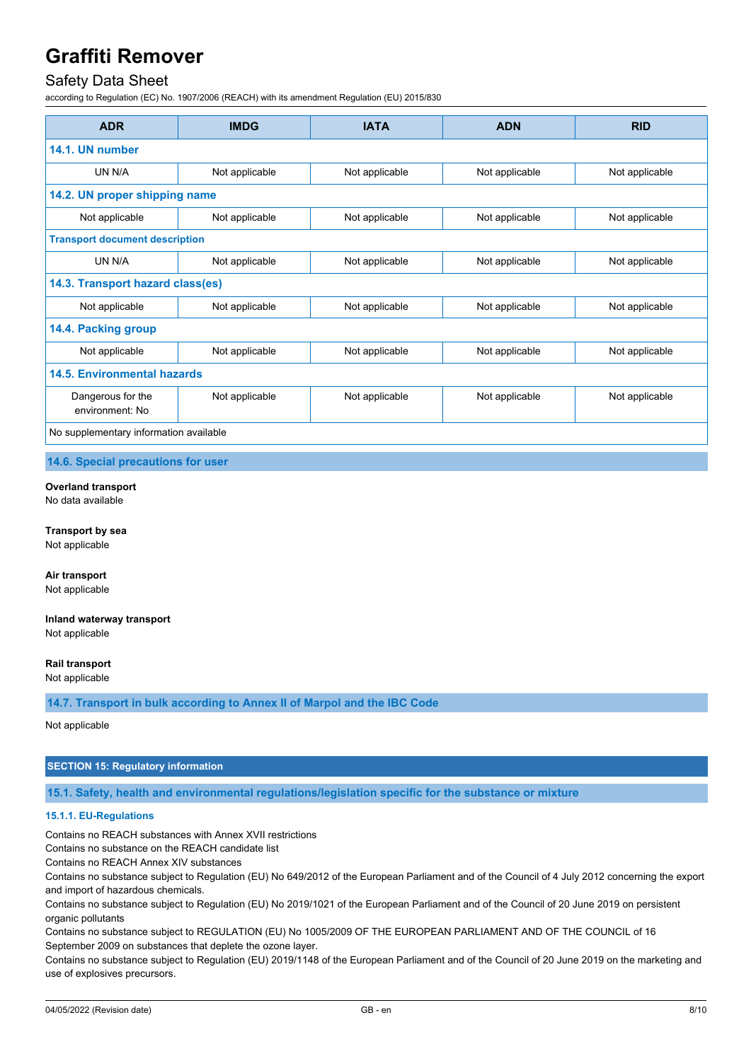# Safety Data Sheet

according to Regulation (EC) No. 1907/2006 (REACH) with its amendment Regulation (EU) 2015/830

| <b>ADR</b>                             | <b>IMDG</b>    | <b>IATA</b>    | <b>ADN</b>     | <b>RID</b>     |
|----------------------------------------|----------------|----------------|----------------|----------------|
| 14.1. UN number                        |                |                |                |                |
| UN N/A                                 | Not applicable | Not applicable | Not applicable | Not applicable |
| 14.2. UN proper shipping name          |                |                |                |                |
| Not applicable                         | Not applicable | Not applicable | Not applicable | Not applicable |
| <b>Transport document description</b>  |                |                |                |                |
| UN N/A                                 | Not applicable | Not applicable | Not applicable | Not applicable |
| 14.3. Transport hazard class(es)       |                |                |                |                |
| Not applicable                         | Not applicable | Not applicable | Not applicable | Not applicable |
| 14.4. Packing group                    |                |                |                |                |
| Not applicable                         | Not applicable | Not applicable | Not applicable | Not applicable |
| <b>14.5. Environmental hazards</b>     |                |                |                |                |
| Dangerous for the<br>environment: No   | Not applicable | Not applicable | Not applicable | Not applicable |
| No supplementary information available |                |                |                |                |

**14.6. Special precautions for user**

**Overland transport** No data available

**Transport by sea** Not applicable

**Air transport** Not applicable

**Inland waterway transport** Not applicable

**Rail transport** Not applicable

**14.7. Transport in bulk according to Annex II of Marpol and the IBC Code**

Not applicable

## **SECTION 15: Regulatory information**

**15.1. Safety, health and environmental regulations/legislation specific for the substance or mixture**

### **15.1.1. EU-Regulations**

Contains no REACH substances with Annex XVII restrictions

Contains no substance on the REACH candidate list

Contains no REACH Annex XIV substances

Contains no substance subject to Regulation (EU) No 649/2012 of the European Parliament and of the Council of 4 July 2012 concerning the export and import of hazardous chemicals.

Contains no substance subject to Regulation (EU) No 2019/1021 of the European Parliament and of the Council of 20 June 2019 on persistent organic pollutants

Contains no substance subject to REGULATION (EU) No 1005/2009 OF THE EUROPEAN PARLIAMENT AND OF THE COUNCIL of 16 September 2009 on substances that deplete the ozone layer.

Contains no substance subject to Regulation (EU) 2019/1148 of the European Parliament and of the Council of 20 June 2019 on the marketing and use of explosives precursors.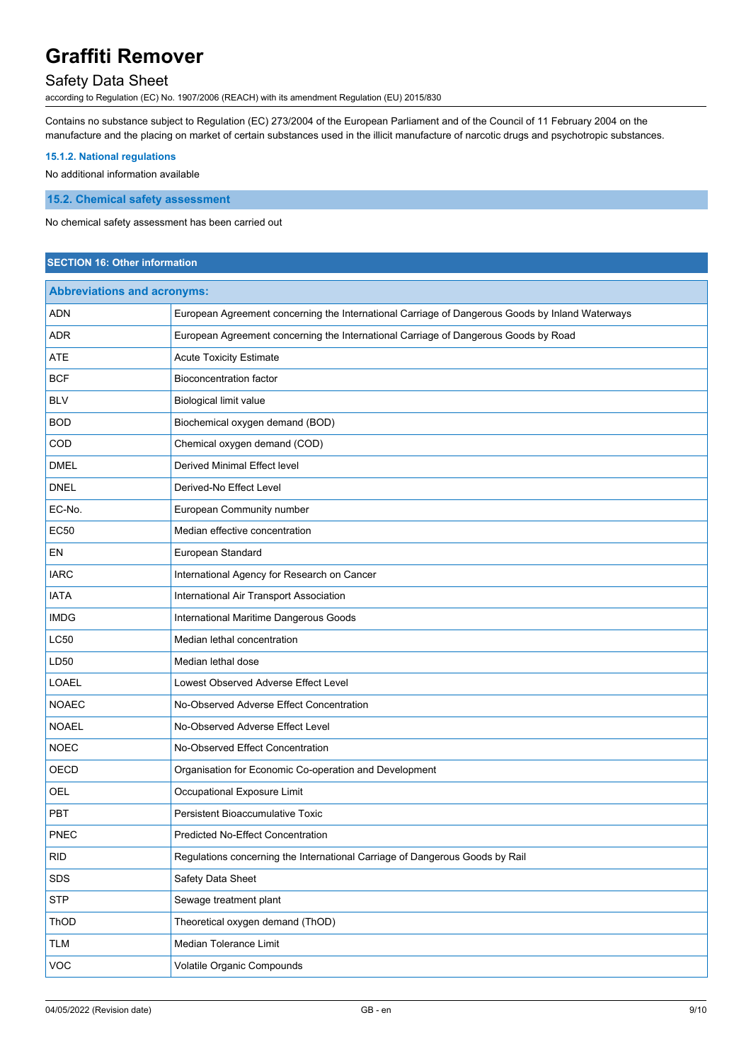# Safety Data Sheet

according to Regulation (EC) No. 1907/2006 (REACH) with its amendment Regulation (EU) 2015/830

Contains no substance subject to Regulation (EC) 273/2004 of the European Parliament and of the Council of 11 February 2004 on the manufacture and the placing on market of certain substances used in the illicit manufacture of narcotic drugs and psychotropic substances.

### **15.1.2. National regulations**

No additional information available

**15.2. Chemical safety assessment**

No chemical safety assessment has been carried out

## **SECTION 16: Other information**

| <b>Abbreviations and acronyms:</b> |                                                                                                 |  |
|------------------------------------|-------------------------------------------------------------------------------------------------|--|
| <b>ADN</b>                         | European Agreement concerning the International Carriage of Dangerous Goods by Inland Waterways |  |
| <b>ADR</b>                         | European Agreement concerning the International Carriage of Dangerous Goods by Road             |  |
| <b>ATE</b>                         | <b>Acute Toxicity Estimate</b>                                                                  |  |
| <b>BCF</b>                         | <b>Bioconcentration factor</b>                                                                  |  |
| <b>BLV</b>                         | Biological limit value                                                                          |  |
| <b>BOD</b>                         | Biochemical oxygen demand (BOD)                                                                 |  |
| COD                                | Chemical oxygen demand (COD)                                                                    |  |
| <b>DMEL</b>                        | Derived Minimal Effect level                                                                    |  |
| <b>DNEL</b>                        | Derived-No Effect Level                                                                         |  |
| EC-No.                             | European Community number                                                                       |  |
| <b>EC50</b>                        | Median effective concentration                                                                  |  |
| EN                                 | European Standard                                                                               |  |
| <b>IARC</b>                        | International Agency for Research on Cancer                                                     |  |
| <b>IATA</b>                        | International Air Transport Association                                                         |  |
| <b>IMDG</b>                        | International Maritime Dangerous Goods                                                          |  |
| <b>LC50</b>                        | Median lethal concentration                                                                     |  |
| LD50                               | Median lethal dose                                                                              |  |
| <b>LOAEL</b>                       | Lowest Observed Adverse Effect Level                                                            |  |
| <b>NOAEC</b>                       | No-Observed Adverse Effect Concentration                                                        |  |
| <b>NOAEL</b>                       | No-Observed Adverse Effect Level                                                                |  |
| <b>NOEC</b>                        | No-Observed Effect Concentration                                                                |  |
| OECD                               | Organisation for Economic Co-operation and Development                                          |  |
| OEL                                | Occupational Exposure Limit                                                                     |  |
| <b>PBT</b>                         | Persistent Bioaccumulative Toxic                                                                |  |
| PNEC                               | <b>Predicted No-Effect Concentration</b>                                                        |  |
| <b>RID</b>                         | Regulations concerning the International Carriage of Dangerous Goods by Rail                    |  |
| SDS                                | Safety Data Sheet                                                                               |  |
| <b>STP</b>                         | Sewage treatment plant                                                                          |  |
| ThOD                               | Theoretical oxygen demand (ThOD)                                                                |  |
| TLM                                | Median Tolerance Limit                                                                          |  |
| VOC                                | Volatile Organic Compounds                                                                      |  |